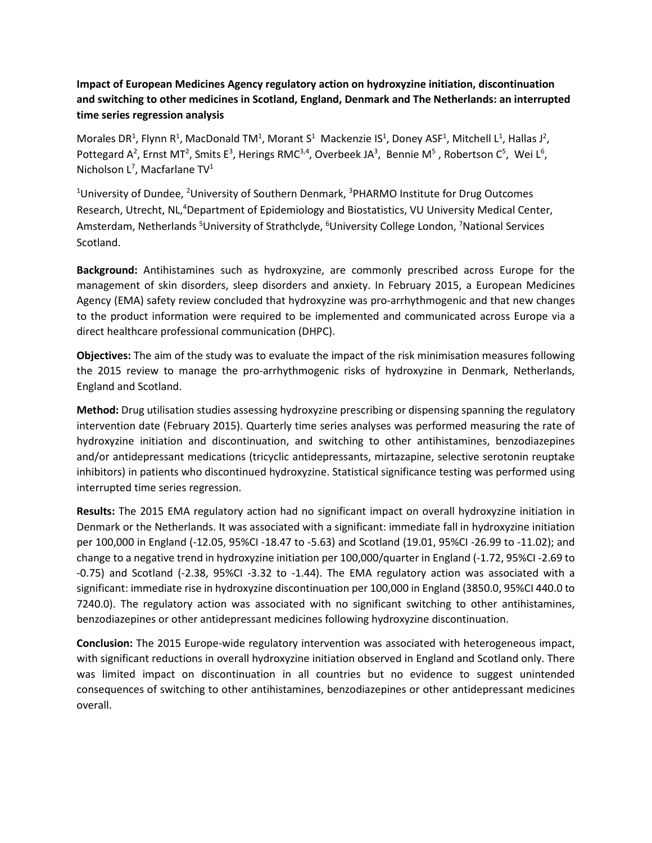## **Impact of European Medicines Agency regulatory action on hydroxyzine initiation, discontinuation and switching to other medicines in Scotland, England, Denmark and The Netherlands: an interrupted time series regression analysis**

Morales DR<sup>1</sup>, Flynn R<sup>1</sup>, MacDonald TM<sup>1</sup>, Morant S<sup>1</sup> Mackenzie IS<sup>1</sup>, Doney ASF<sup>1</sup>, Mitchell L<sup>1</sup>, Hallas J<sup>2</sup>, Pottegard A<sup>2</sup>, Ernst MT<sup>2</sup>, Smits E<sup>3</sup>, Herings RMC<sup>3,4</sup>, Overbeek JA<sup>3</sup>, Bennie M<sup>5</sup>, Robertson C<sup>5</sup>, Wei L<sup>6</sup>, Nicholson L<sup>7</sup>, Macfarlane TV<sup>1</sup>

<sup>1</sup>University of Dundee, <sup>2</sup>University of Southern Denmark, <sup>3</sup>PHARMO Institute for Drug Outcomes Research, Utrecht, NL,<sup>4</sup>Department of Epidemiology and Biostatistics, VU University Medical Center, Amsterdam, Netherlands <sup>5</sup>University of Strathclyde, <sup>6</sup>University College London, <sup>7</sup>National Services Scotland.

**Background:** Antihistamines such as hydroxyzine, are commonly prescribed across Europe for the management of skin disorders, sleep disorders and anxiety. In February 2015, a European Medicines Agency (EMA) safety review concluded that hydroxyzine was pro-arrhythmogenic and that new changes to the product information were required to be implemented and communicated across Europe via a direct healthcare professional communication (DHPC).

**Objectives:** The aim of the study was to evaluate the impact of the risk minimisation measures following the 2015 review to manage the pro-arrhythmogenic risks of hydroxyzine in Denmark, Netherlands, England and Scotland.

**Method:** Drug utilisation studies assessing hydroxyzine prescribing or dispensing spanning the regulatory intervention date (February 2015). Quarterly time series analyses was performed measuring the rate of hydroxyzine initiation and discontinuation, and switching to other antihistamines, benzodiazepines and/or antidepressant medications (tricyclic antidepressants, mirtazapine, selective serotonin reuptake inhibitors) in patients who discontinued hydroxyzine. Statistical significance testing was performed using interrupted time series regression.

**Results:** The 2015 EMA regulatory action had no significant impact on overall hydroxyzine initiation in Denmark or the Netherlands. It was associated with a significant: immediate fall in hydroxyzine initiation per 100,000 in England (-12.05, 95%CI -18.47 to -5.63) and Scotland (19.01, 95%CI -26.99 to -11.02); and change to a negative trend in hydroxyzine initiation per 100,000/quarter in England (-1.72, 95%CI -2.69 to -0.75) and Scotland (-2.38, 95%CI -3.32 to -1.44). The EMA regulatory action was associated with a significant: immediate rise in hydroxyzine discontinuation per 100,000 in England (3850.0, 95%CI 440.0 to 7240.0). The regulatory action was associated with no significant switching to other antihistamines, benzodiazepines or other antidepressant medicines following hydroxyzine discontinuation.

**Conclusion:** The 2015 Europe-wide regulatory intervention was associated with heterogeneous impact, with significant reductions in overall hydroxyzine initiation observed in England and Scotland only. There was limited impact on discontinuation in all countries but no evidence to suggest unintended consequences of switching to other antihistamines, benzodiazepines or other antidepressant medicines overall.